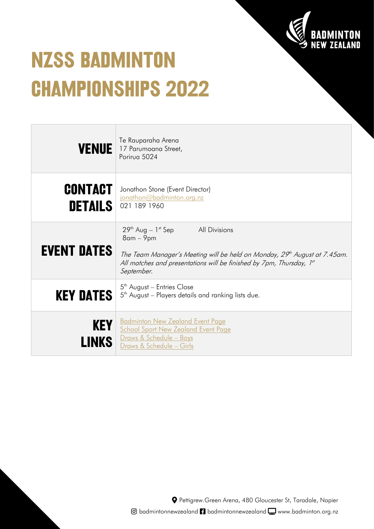

# **NZSS BADMINTON CHAMPIONSHIPS 2022**

 $\overline{\phantom{a}}$ 

| <b>VENUE</b>                     | Te Rauparaha Arena<br>17 Parumoana Street,<br>Porirua 5024                                                                                                                                                                                             |
|----------------------------------|--------------------------------------------------------------------------------------------------------------------------------------------------------------------------------------------------------------------------------------------------------|
| <b>CONTACT</b><br><b>DETAILS</b> | Jonathon Stone (Event Director)<br>jonathon@badminton.org.nz<br>021 189 1960                                                                                                                                                                           |
| <b>EVENT DATES</b>               | $29^{th}$ Aug – $1^{st}$ Sep<br><b>All Divisions</b><br>$8$ am – $9$ pm<br>The Team Manager's Meeting will be held on Monday, 29 <sup>th</sup> August at 7.45am.<br>All matches and presentations will be finished by 7pm, Thursday, 1st<br>September. |
| <b>KEY DATES</b>                 | $5th$ August – Entries Close<br>5 <sup>th</sup> August - Players details and ranking lists due.                                                                                                                                                        |
| <b>KEY</b><br><b>LINKS</b>       | <b>Badminton New Zealand Event Page</b><br><b>School Sport New Zealand Event Page</b><br>Draws & Schedule - Boys<br>Draws & Schedule - Girls                                                                                                           |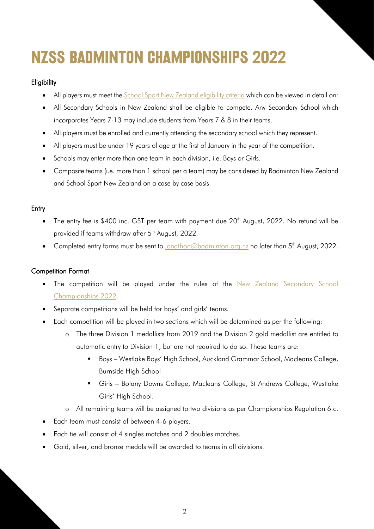# **NZSS BADMINTON CHAMPIONSHIPS 2022**

## **Eligibility**

- All players must meet the [School Sport New Zealand eligibility criteria](http://www.nzsssc.org.nz/Sport-1/Events/Eligibility-Regulations) which can be viewed in detail on:
- All Secondary Schools in New Zealand shall be eligible to compete. Any Secondary School which incorporates Years 7-13 may include students from Years 7 & 8 in their teams.
- All players must be enrolled and currently attending the secondary school which they represent.
- All players must be under 19 years of age at the first of January in the year of the competition.
- Schools may enter more than one team in each division; i.e. Boys or Girls.
- Composite teams (i.e. more than 1 school per a team) may be considered by Badminton New Zealand and School Sport New Zealand on a case by case basis.

### **Entry**

- The entry fee is \$400 inc. GST per team with payment due 20<sup>th</sup> August, 2022. No refund will be provided if teams withdraw after 5<sup>th</sup> August, 2022.
- Completed entry forms must be sent to <u>jonathon@badminton.org.nz</u> no later than 5<sup>th</sup> August, 2022.

### Competition Format

- The competition will be played under the rules of the New Zealand Secondary School [Championships 2022.](https://badminton.org.nz/wp-content/uploads/2022/04/NZSS2022-Regulations.pdf)
- Separate competitions will be held for boys' and girls' teams.
- Each competition will be played in two sections which will be determined as per the following:
	- o The three Division 1 medallists from 2019 and the Division 2 gold medallist are entitled to automatic entry to Division 1, but are not required to do so. These teams are:
		- Boys Westlake Boys' High School, Auckland Grammar School, Macleans College, Burnside High School
		- Girls Botany Downs College, Macleans College, St Andrews College, Westlake Girls' High School.
	- o All remaining teams will be assigned to two divisions as per Championships Regulation 6.c.
- Each team must consist of between 4-6 players.
- Each tie will consist of 4 singles matches and 2 doubles matches.
- Gold, silver, and bronze medals will be awarded to teams in all divisions.